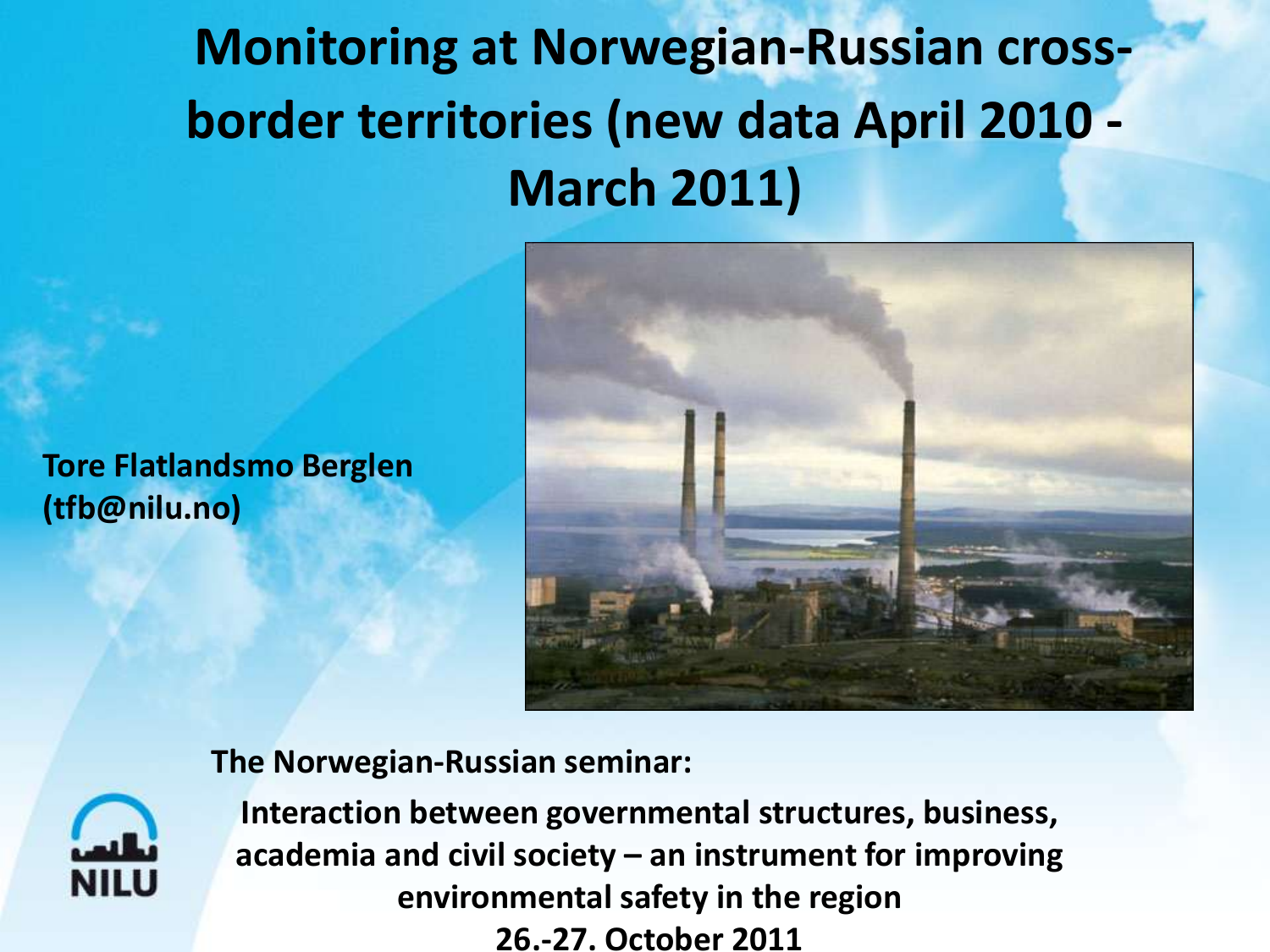**Monitoring at Norwegian-Russian crossborder territories (new data April 2010 - March 2011)**

**Tore Flatlandsmo Berglen (tfb@nilu.no)**



#### **The Norwegian-Russian seminar:**



**Interaction between governmental structures, business, academia and civil society – an instrument for improving environmental safety in the region 26.-27. October 2011**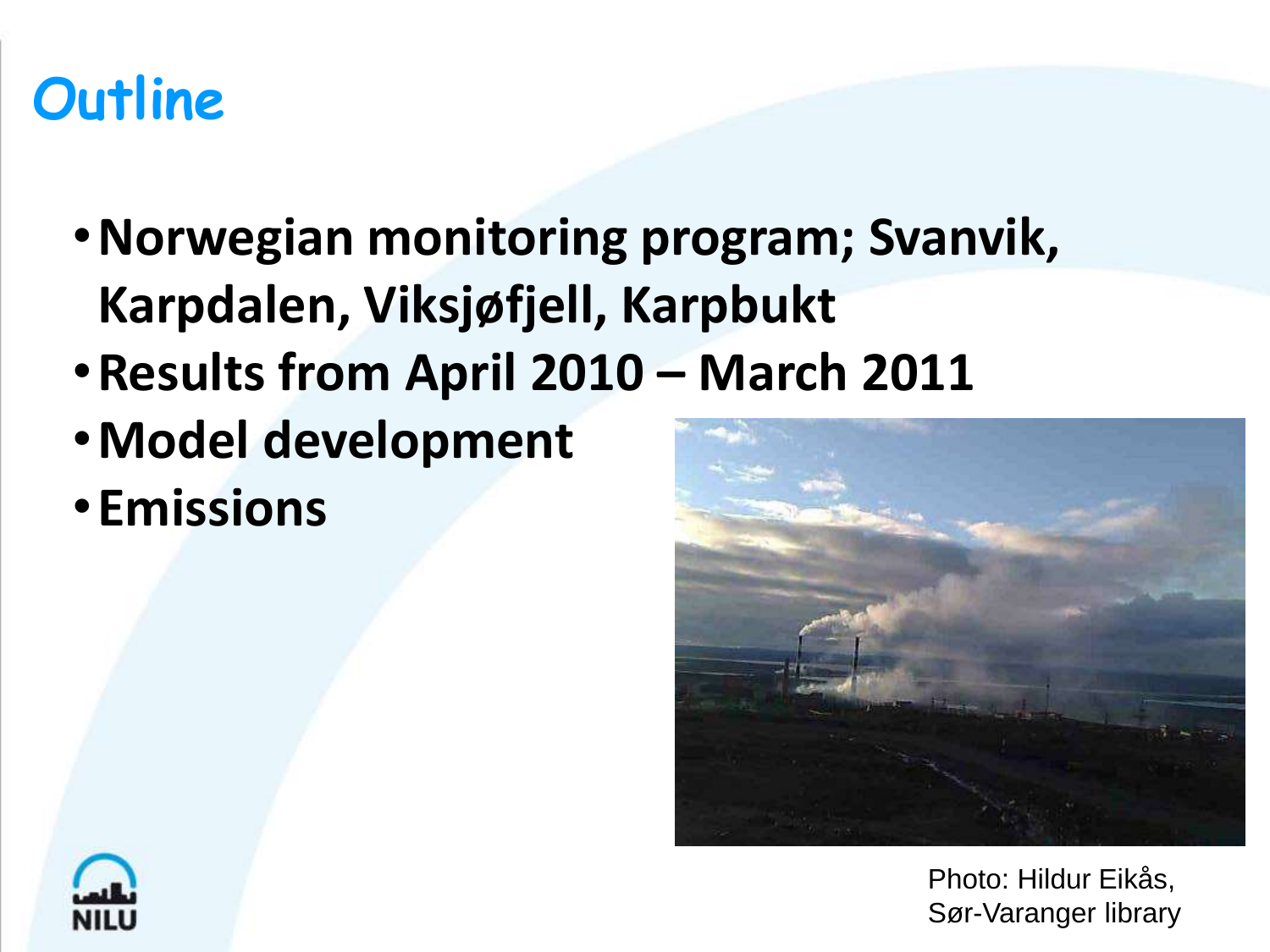#### **Outline**

- •**Norwegian monitoring program; Svanvik, Karpdalen, Viksjøfjell, Karpbukt**
- •**Results from April 2010 – March 2011**
- •**Model development**
- •**Emissions**



Photo: Hildur Eikås, Sør-Varanger library

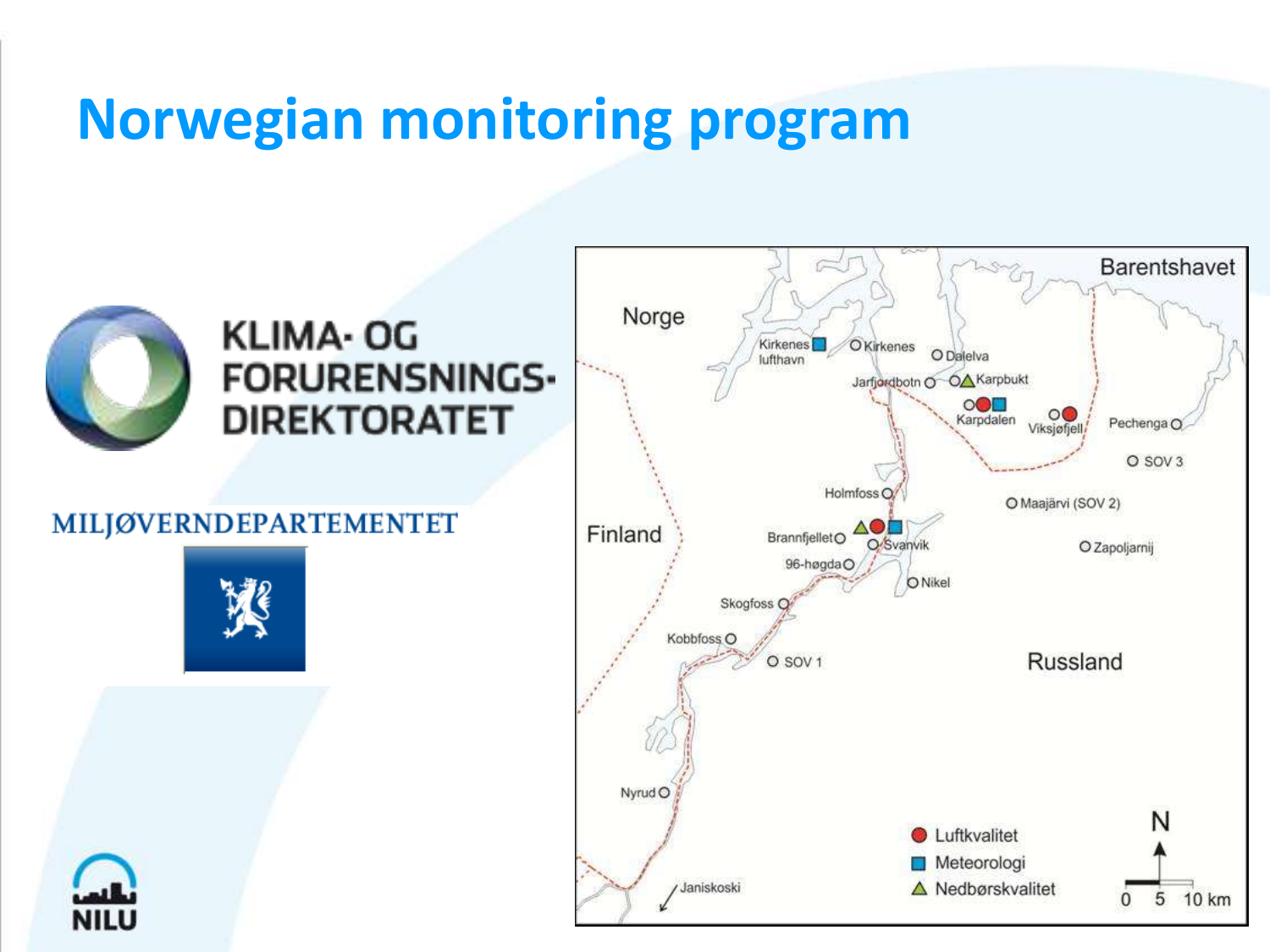#### **Norwegian monitoring program**

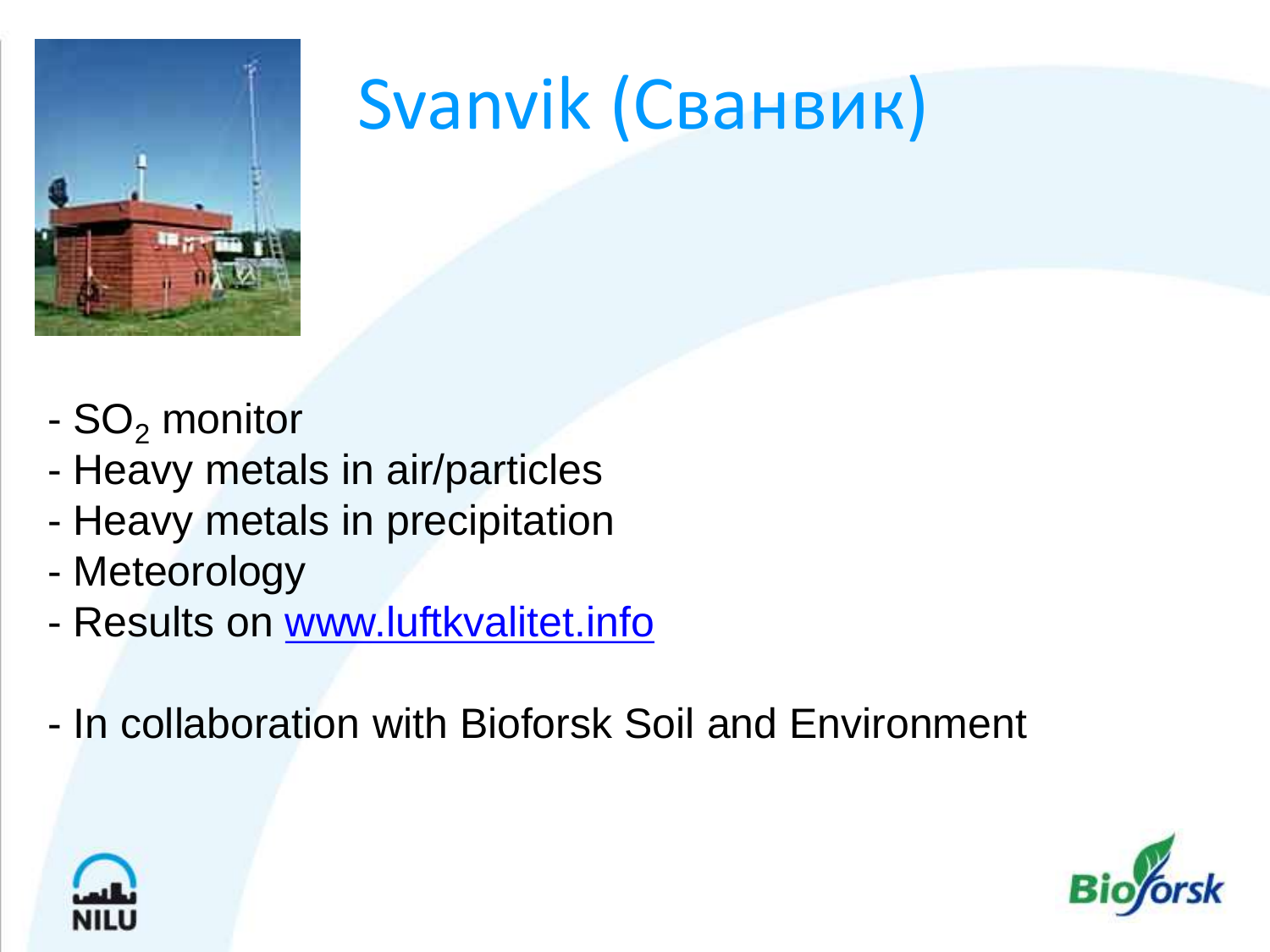

## Svanvik (Сванвик)

- $SO<sub>2</sub>$  monitor
- Heavy metals in air/particles
- Heavy metals in precipitation
- Meteorology
- Results on [www.luftkvalitet.info](http://www.luftkvalitet.info/)
- In collaboration with Bioforsk Soil and Environment



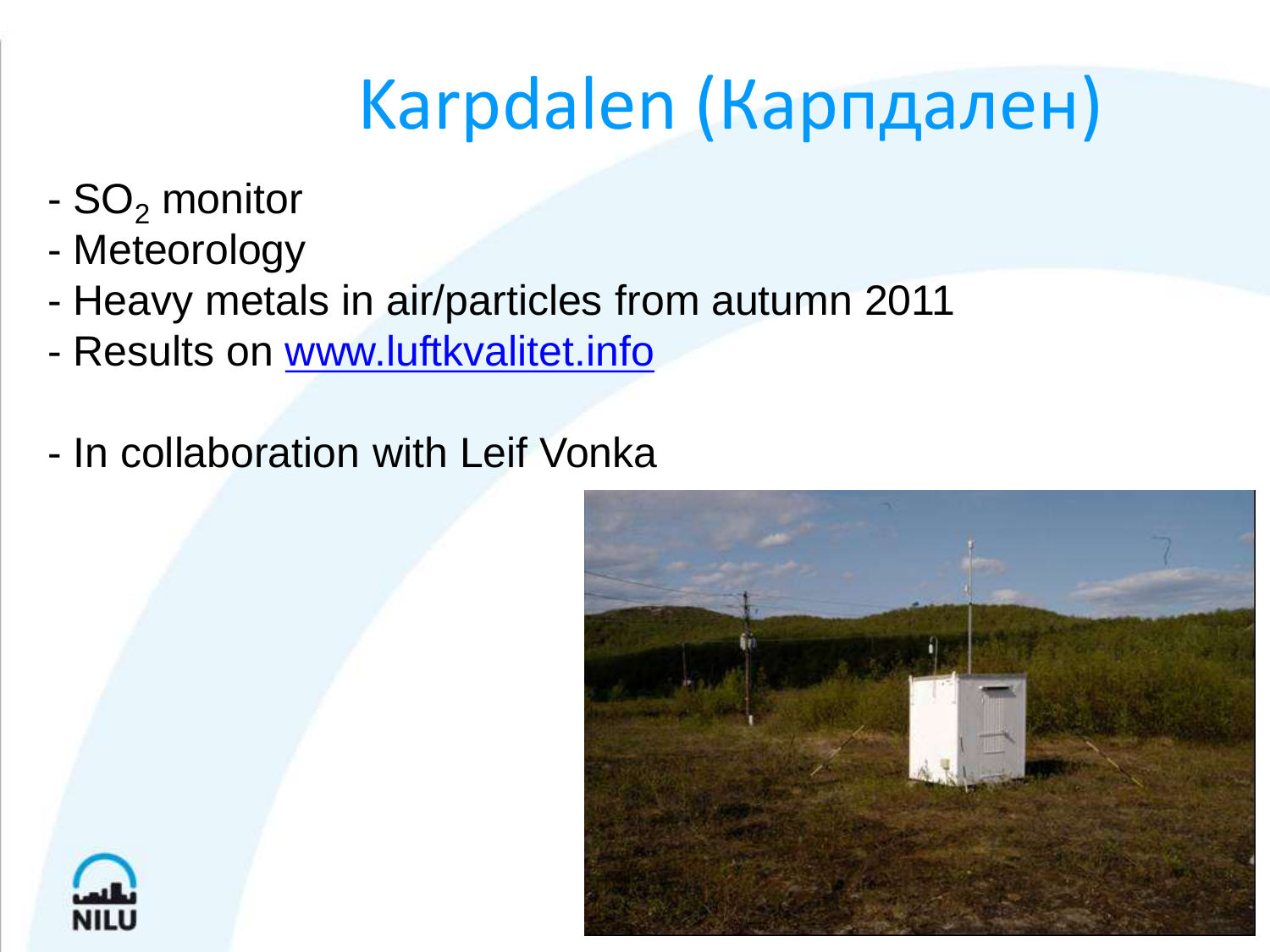## Karpdalen (Карпдален)

- $SO<sub>2</sub>$  monitor
- Meteorology
- Heavy metals in air/particles from autumn 2011
- Results on [www.luftkvalitet.info](http://www.luftkvalitet.info/)
- In collaboration with Leif Vonka



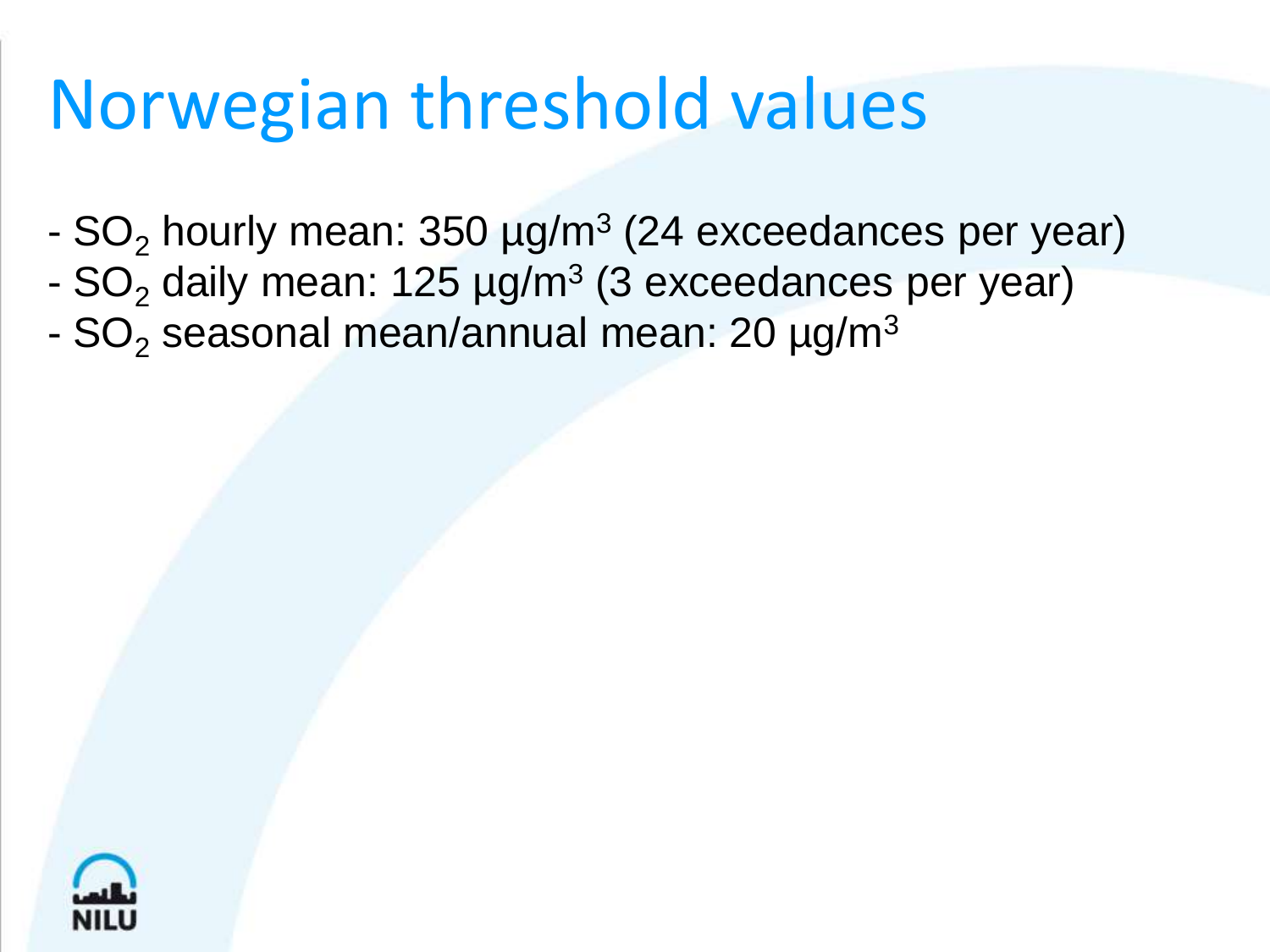## Norwegian threshold values

- SO<sub>2</sub> hourly mean:  $350 \text{ }\mu\text{g/m}^3$  (24 exceedances per year)
- SO<sub>2</sub> daily mean: 125 µg/m<sup>3</sup> (3 exceedances per year)
- $SO<sub>2</sub>$  seasonal mean/annual mean: 20  $\mu$ g/m<sup>3</sup>

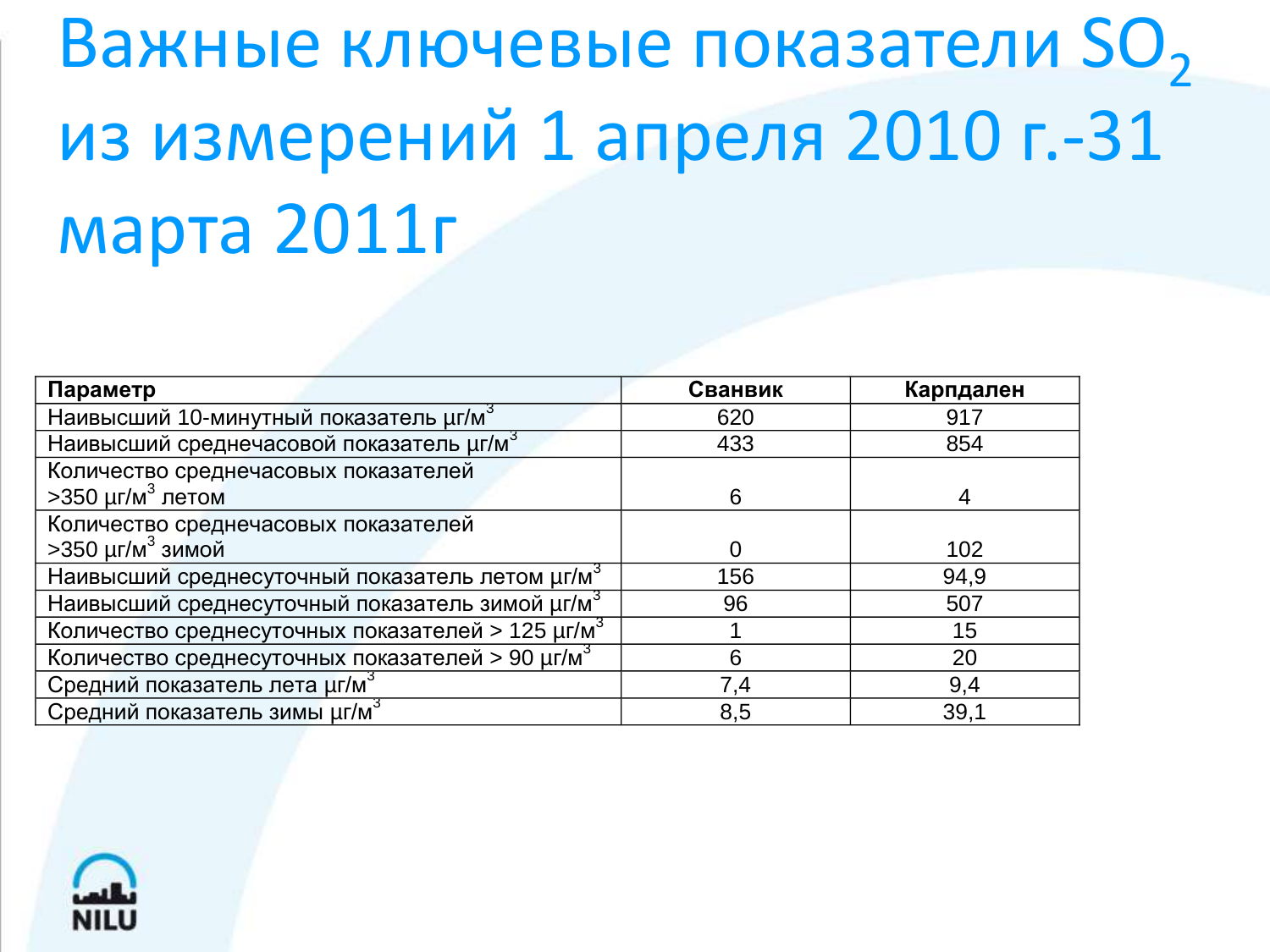# Важные ключевые показатели SO<sub>2</sub> из измерений 1 апреля 2010 г.-31 марта 2011г

| Параметр                                                           | Сванвик | Карпдален |
|--------------------------------------------------------------------|---------|-----------|
| Наивысший 10-минутный показатель µг/м <sup>3</sup>                 | 620     | 917       |
| Наивысший среднечасовой показатель µг/м <sup>3</sup>               | 433     | 854       |
| Количество среднечасовых показателей                               |         |           |
| >350 µг/м <sup>3</sup> летом                                       | 6       |           |
| Количество среднечасовых показателей                               |         |           |
| >350 µг/м <sup>3</sup> зимой                                       |         | 102       |
| Наивысший среднесуточный показатель летом µг/м <sup>3</sup>        | 156     | 94,9      |
| Наивысший среднесуточный показатель зимой $\mu$ г/м <sup>3</sup>   | 96      | 507       |
| Количество среднесуточных показателей > 125 $\mu$ г/м <sup>3</sup> |         | 15        |
| Количество среднесуточных показателей > 90 µг/м <sup>3</sup>       | 6       | 20        |
| Средний показатель лета µг/м <sup>3</sup>                          | 7,4     | 9,4       |
| Средний показатель зимы µг/м <sup>3</sup>                          | 8,5     | 39,1      |

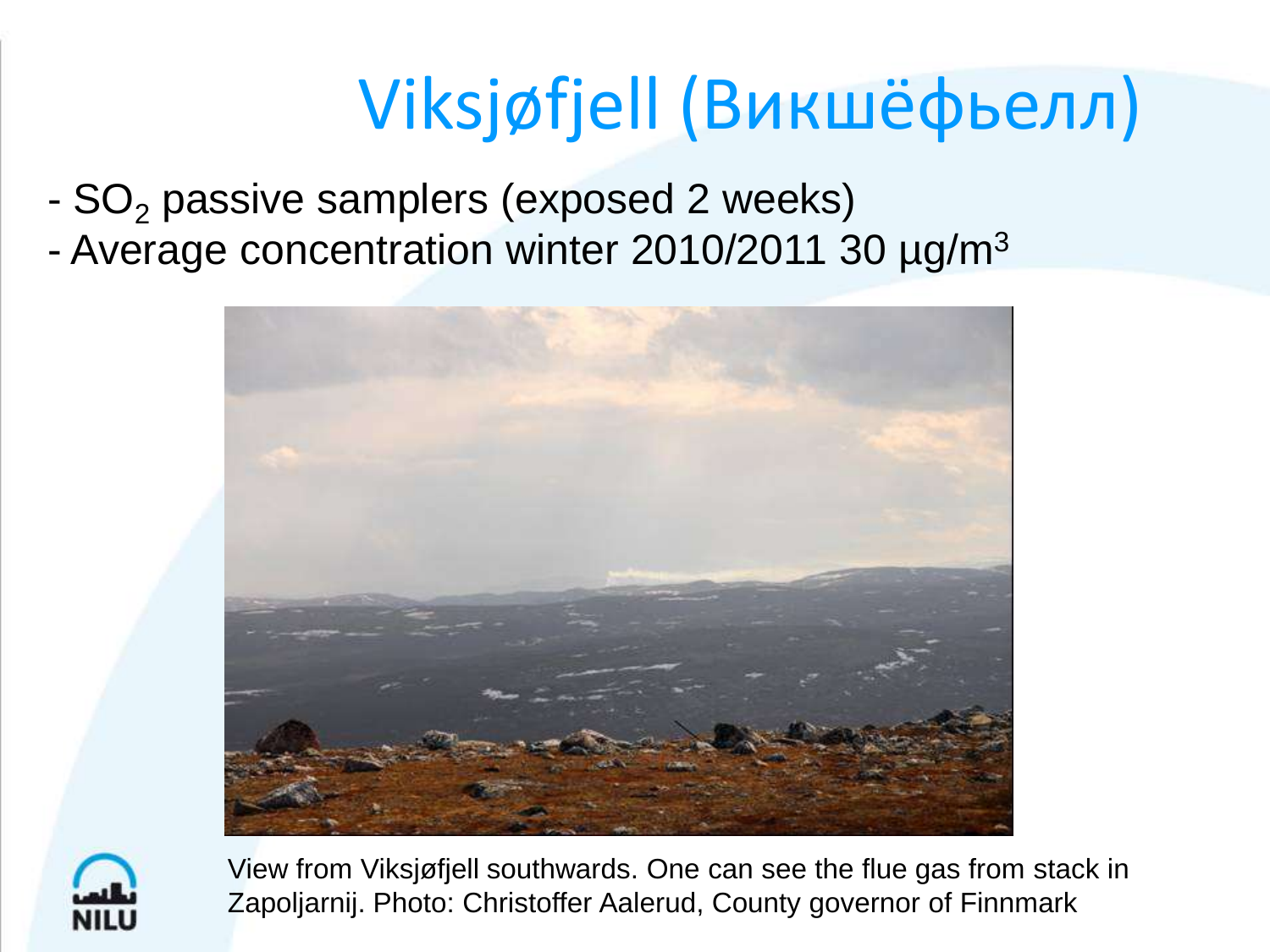## Viksjøfjell (Викшёфьелл)

- $SO<sub>2</sub>$  passive samplers (exposed 2 weeks)
- Average concentration winter 2010/2011 30 µg/m<sup>3</sup>





View from Viksjøfjell southwards. One can see the flue gas from stack in Zapoljarnij. Photo: Christoffer Aalerud, County governor of Finnmark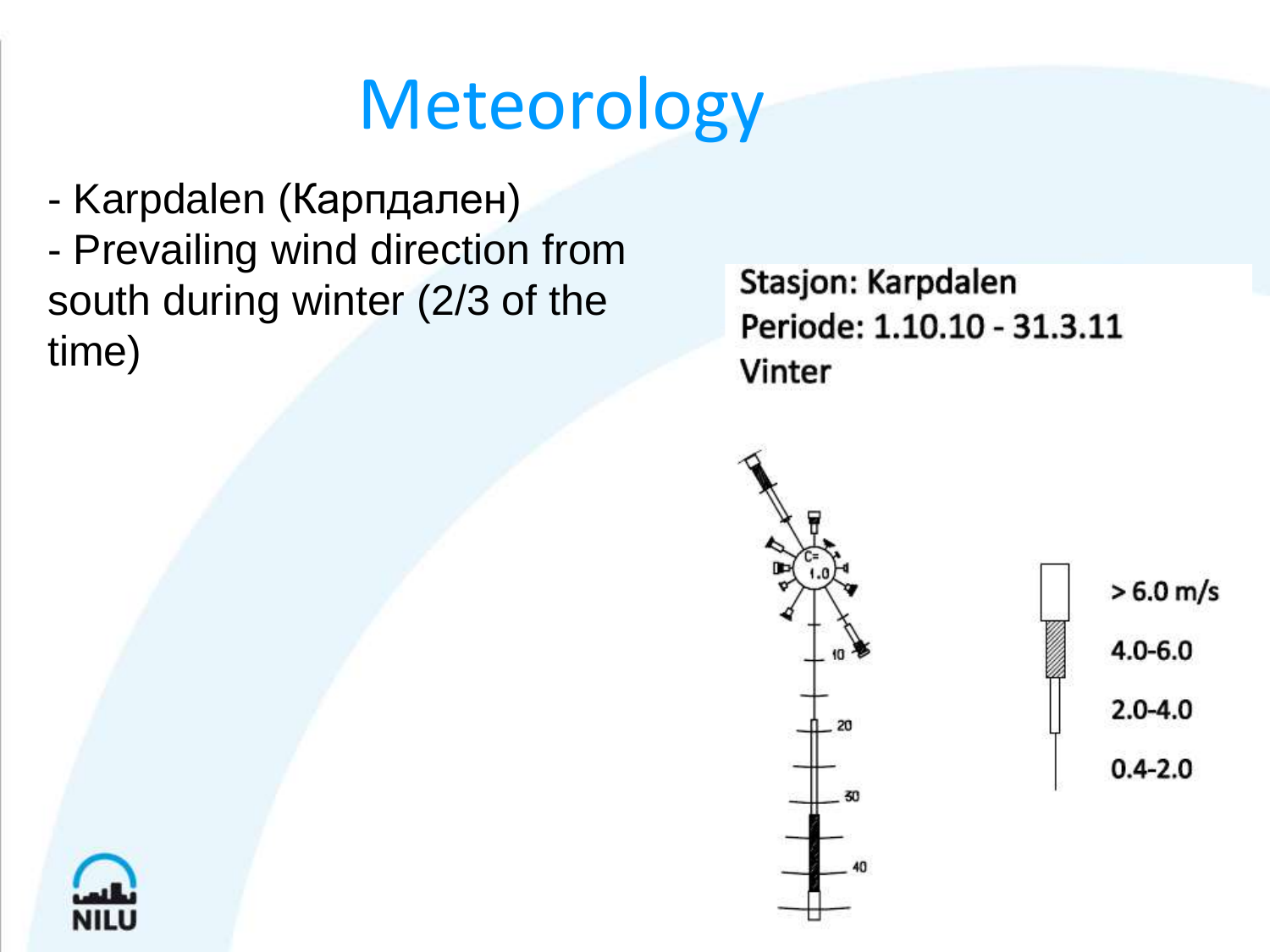## Meteorology

- Karpdalen (Карпдален) - Prevailing wind direction from south during winter (2/3 of the time)

Stasjon: Karpdalen Periode: 1.10.10 - 31.3.11 Vinter



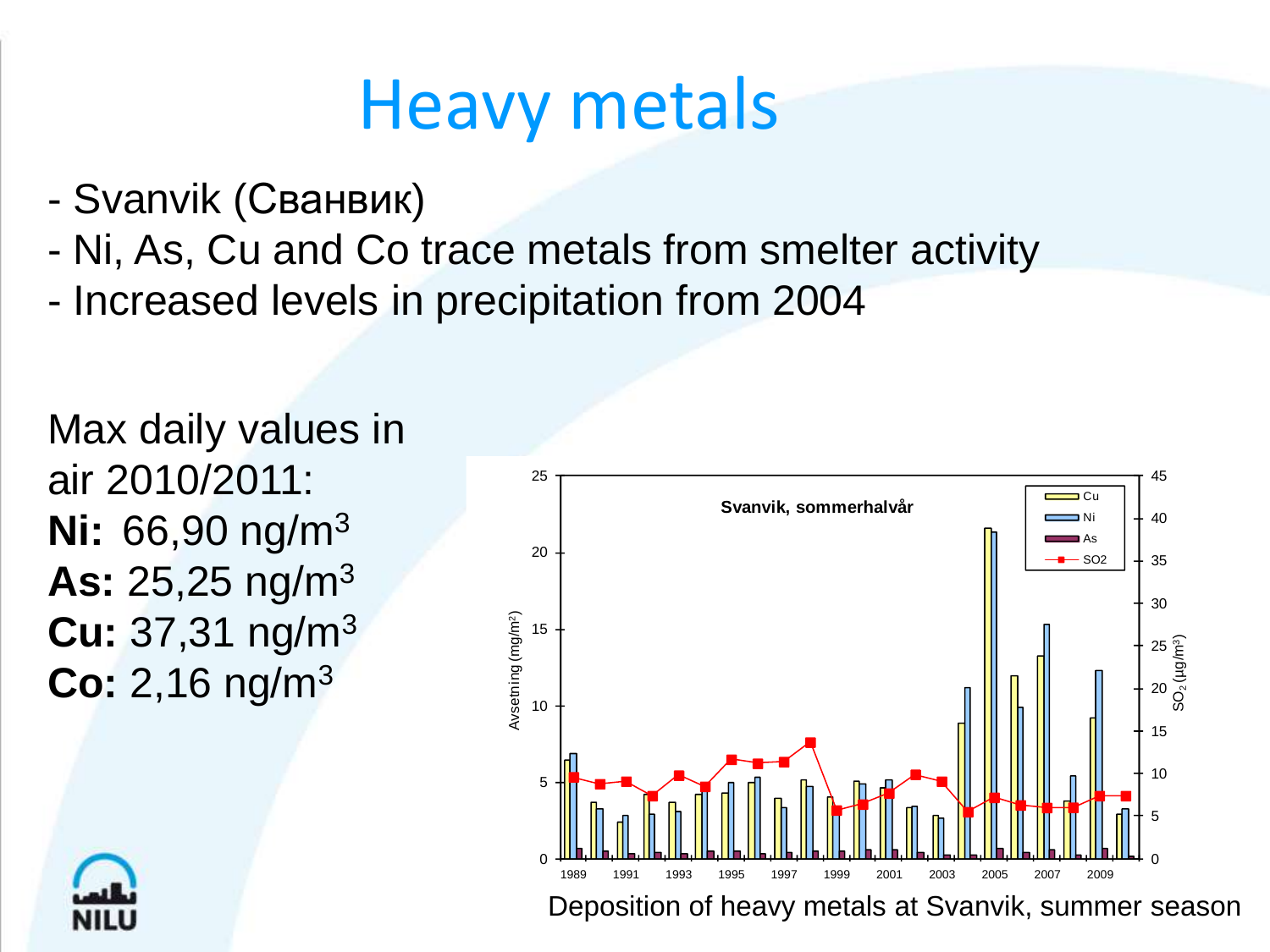#### Heavy metals

- Svanvik (Сванвик)
- Ni, As, Cu and Co trace metals from smelter activity
- Increased levels in precipitation from 2004



Max daily values in air 2010/2011: **Ni:** 66,90 ng/m<sup>3</sup> **As:** 25,25 ng/m<sup>3</sup> **Cu:** 37,31 ng/m<sup>3</sup> **Co:** 2,16 ng/m<sup>3</sup>

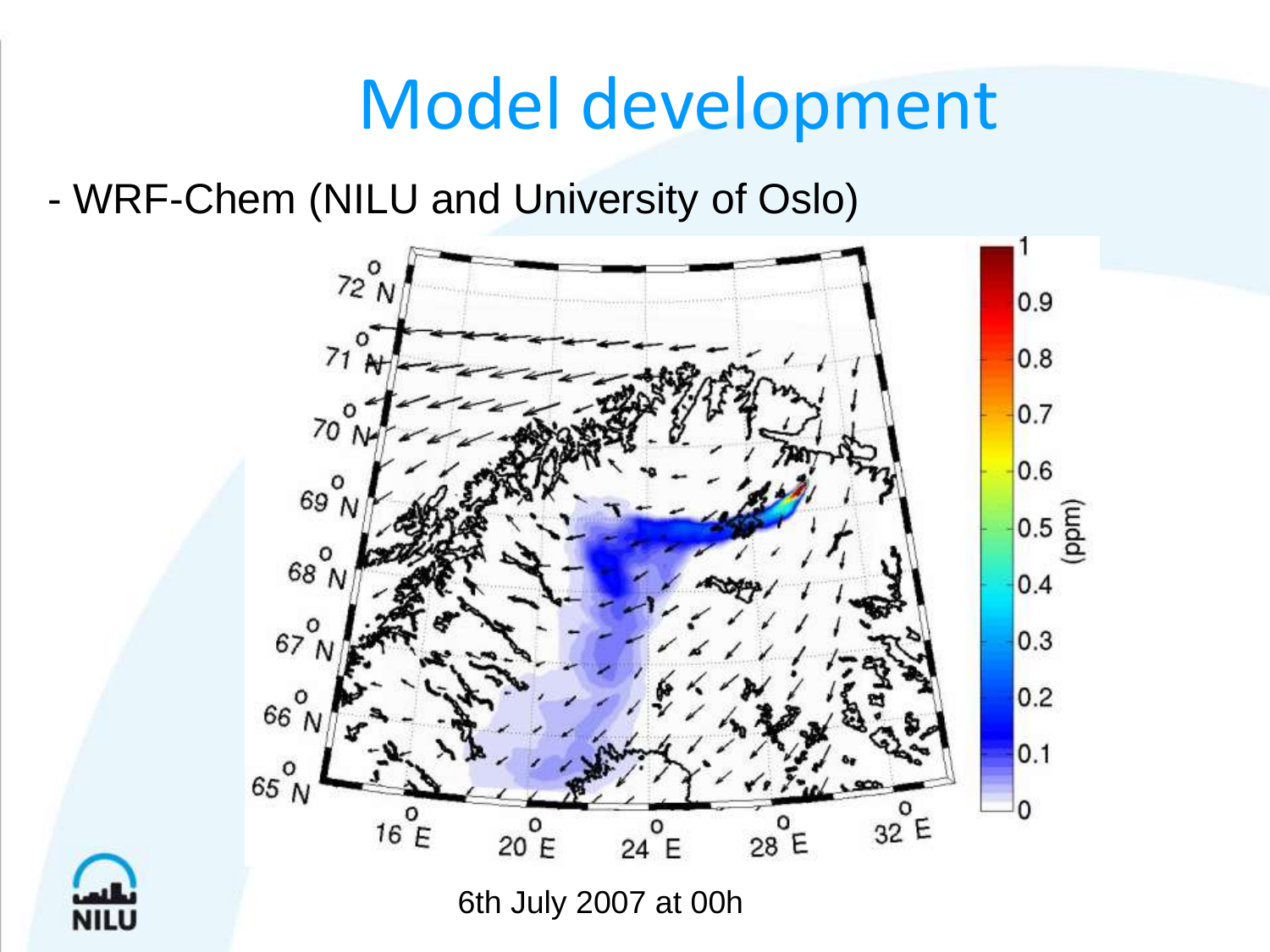## Model development

- WRF-Chem (NILU and University of Oslo)



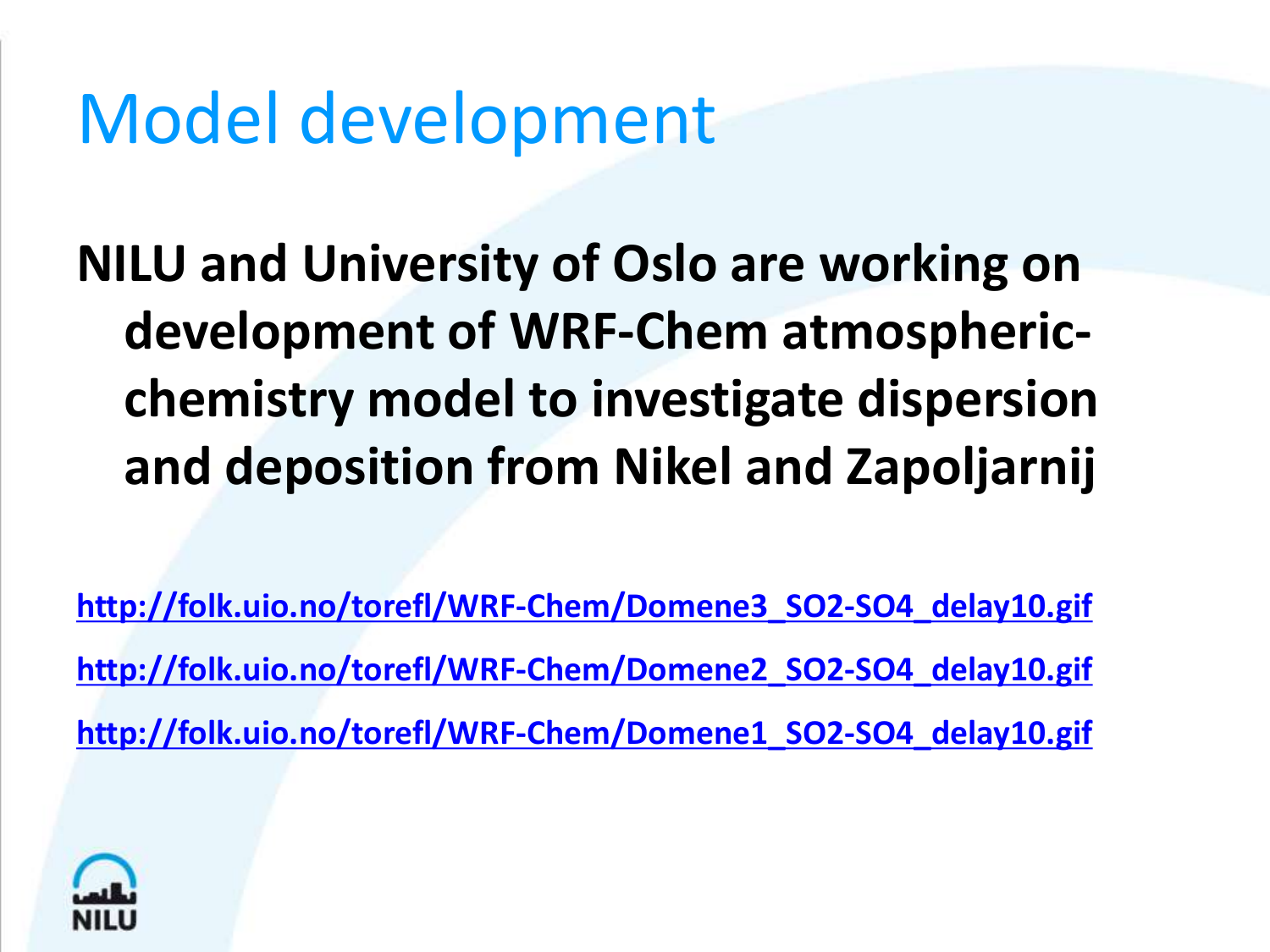## Model development

**NILU and University of Oslo are working on development of WRF-Chem atmosphericchemistry model to investigate dispersion and deposition from Nikel and Zapoljarnij**

**[http://folk.uio.no/torefl/WRF-Chem/Domene3\\_SO2-SO4\\_delay10.gif](http://folk.uio.no/torefl/WRF-Chem/Domene3_SO2-SO4_delay10.gif) [http://folk.uio.no/torefl/WRF-Chem/Domene2\\_SO2-SO4\\_delay10.gif](http://folk.uio.no/torefl/WRF-Chem/Domene2_SO2-SO4_delay10.gif) [http://folk.uio.no/torefl/WRF-Chem/Domene1\\_SO2-SO4\\_delay10.gif](http://folk.uio.no/torefl/WRF-Chem/Domene1_SO2-SO4_delay10.gif)**

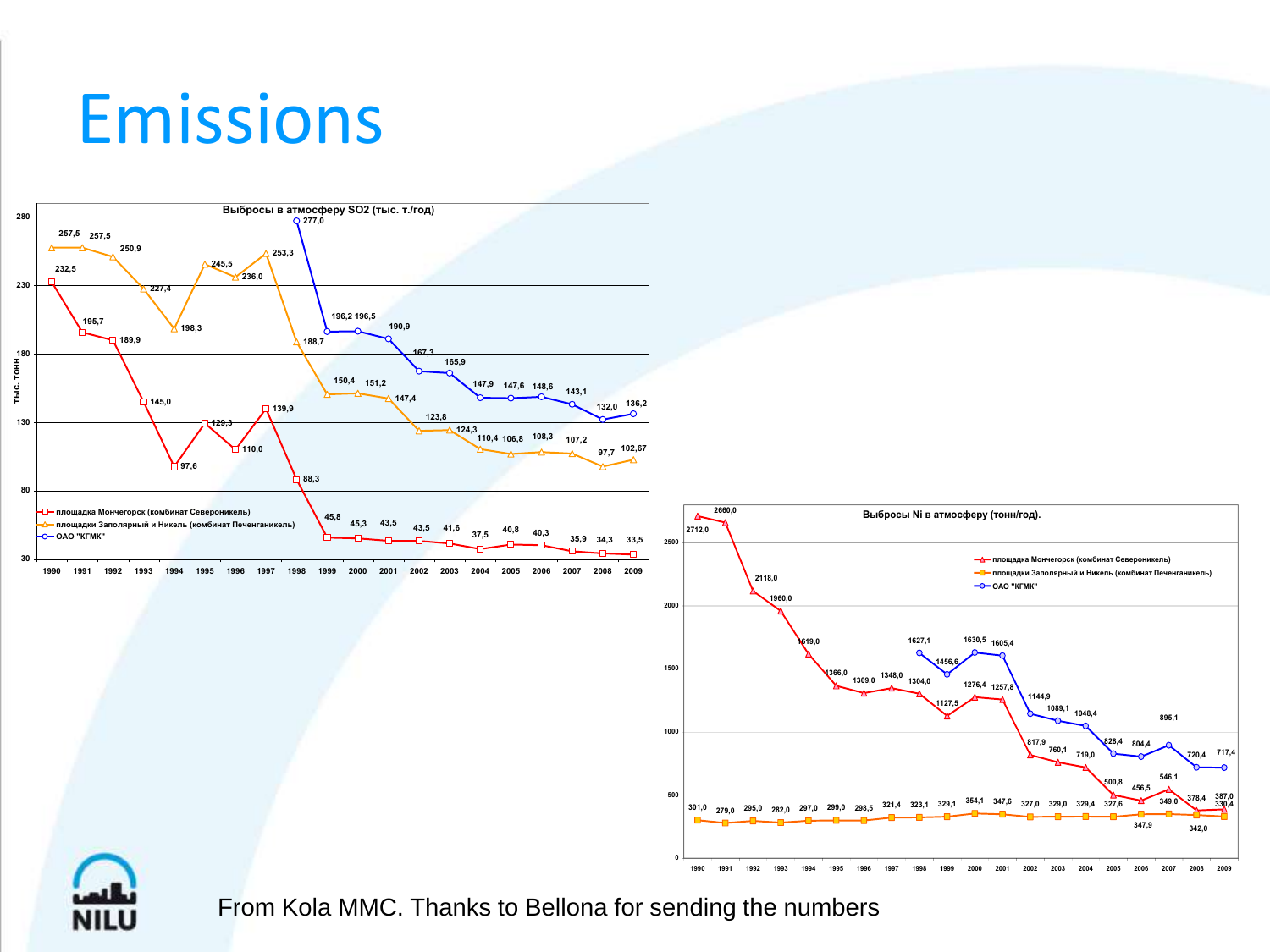#### Emissions



From Kola MMC. Thanks to Bellona for sending the numbers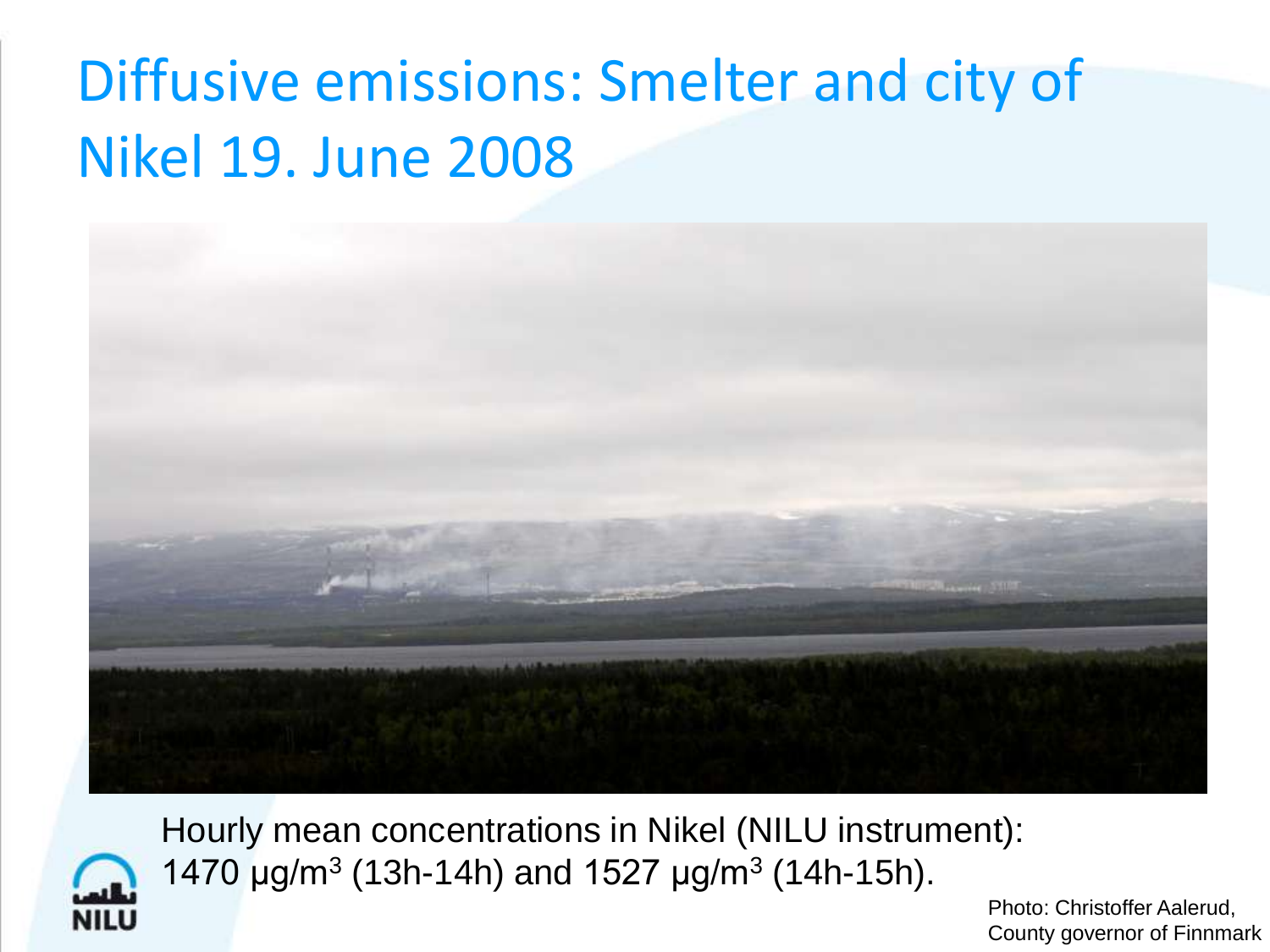#### Diffusive emissions: Smelter and city of Nikel 19. June 2008





Hourly mean concentrations in Nikel (NILU instrument): 1470  $\mu$ g/m<sup>3</sup> (13h-14h) and 1527  $\mu$ g/m<sup>3</sup> (14h-15h).

> Photo: Christoffer Aalerud, County governor of Finnmark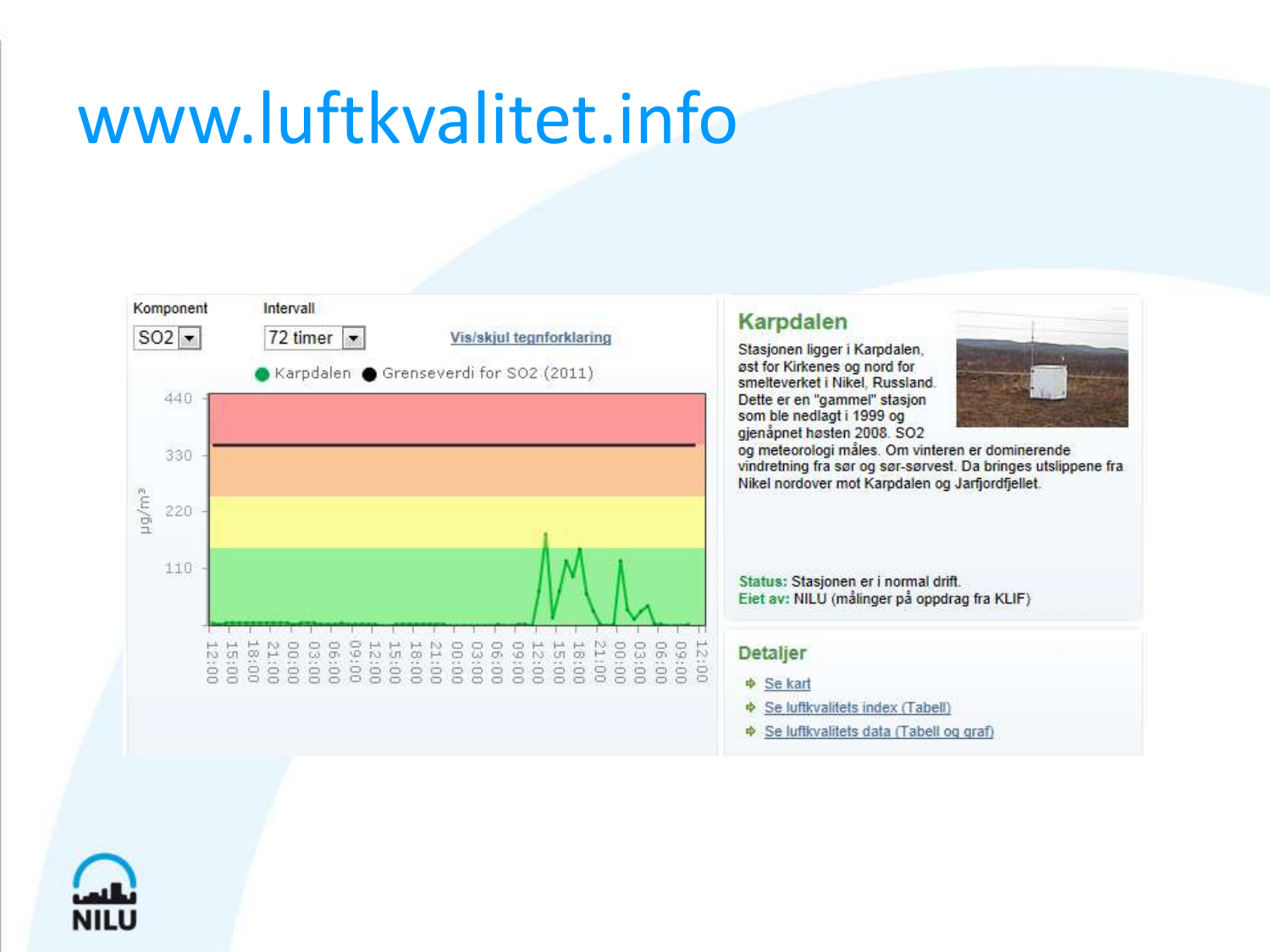#### www.luftkvalitet.info



#### Karpdalen

Stasjonen ligger i Karpdalen, øst for Kirkenes og nord for smelteverket i Nikel, Russland. Dette er en "gammel" stasjon som ble nedlagt i 1999 og gienåpnet høsten 2008. SO2



og meteorologi måles. Om vinteren er dominerende vindretning fra sør og sør-sørvest. Da bringes utslippene fra Nikel nordover mot Karpdalen og Jarfjordfjellet.

Status: Stasjonen er i normal drift. Eiet av: NILU (målinger på oppdrag fra KLIF)

#### **Detaljer**

- $\Phi$  Se kart
- $\Phi$  Se luftkvalitets index (Tabell)
- Se luftkvalitets data (Tabell og graf)